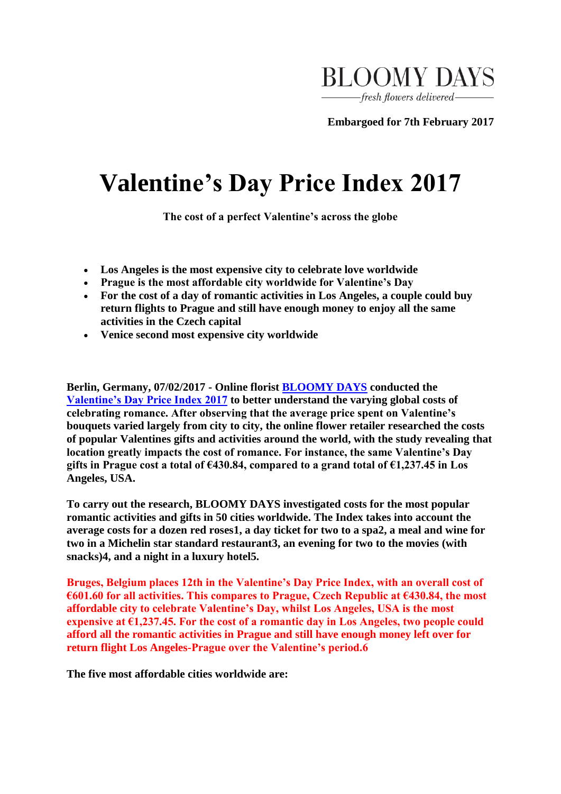

**Embargoed for 7th February 2017**

## **Valentine's Day Price Index 2017**

**The cost of a perfect Valentine's across the globe**

- **Los Angeles is the most expensive city to celebrate love worldwide**
- **Prague is the most affordable city worldwide for Valentine's Day**
- **For the cost of a day of romantic activities in Los Angeles, a couple could buy return flights to Prague and still have enough money to enjoy all the same activities in the Czech capital**
- **Venice second most expensive city worldwide**

**Berlin, Germany, 07/02/2017 - Online florist [BLOOMY DAYS](https://eu.vocuspr.com/Tracking.aspx?Data=HHL%3d%3e%2c%3c%2fA%26JDG%3c%3b3%3d%2f70%3f%26SDG%3c90%3a.&RE=MC&RI=4636052&Preview=False&DistributionActionID=20094&Action=Follow+Link) conducted the [Valentine's Day Price Index 2017](https://eu.vocuspr.com/Tracking.aspx?Data=HHL%3d%3e%2c%3c%2fA%26JDG%3c%3b3%3d%2f70%3f%26SDG%3c90%3a.&RE=MC&RI=4636052&Preview=False&DistributionActionID=20093&Action=Follow+Link) to better understand the varying global costs of celebrating romance. After observing that the average price spent on Valentine's bouquets varied largely from city to city, the online flower retailer researched the costs of popular Valentines gifts and activities around the world, with the study revealing that location greatly impacts the cost of romance. For instance, the same Valentine's Day gifts in Prague cost a total of €430.84, compared to a grand total of €1,237.45 in Los Angeles, USA.** 

**To carry out the research, BLOOMY DAYS investigated costs for the most popular romantic activities and gifts in 50 cities worldwide. The Index takes into account the average costs for a dozen red roses1, a day ticket for two to a spa2, a meal and wine for two in a Michelin star standard restaurant3, an evening for two to the movies (with snacks)4, and a night in a luxury hotel5.** 

**Bruges, Belgium places 12th in the Valentine's Day Price Index, with an overall cost of €601.60 for all activities. This compares to Prague, Czech Republic at €430.84, the most affordable city to celebrate Valentine's Day, whilst Los Angeles, USA is the most expensive at €1,237.45. For the cost of a romantic day in Los Angeles, two people could afford all the romantic activities in Prague and still have enough money left over for return flight Los Angeles-Prague over the Valentine's period.6**

**The five most affordable cities worldwide are:**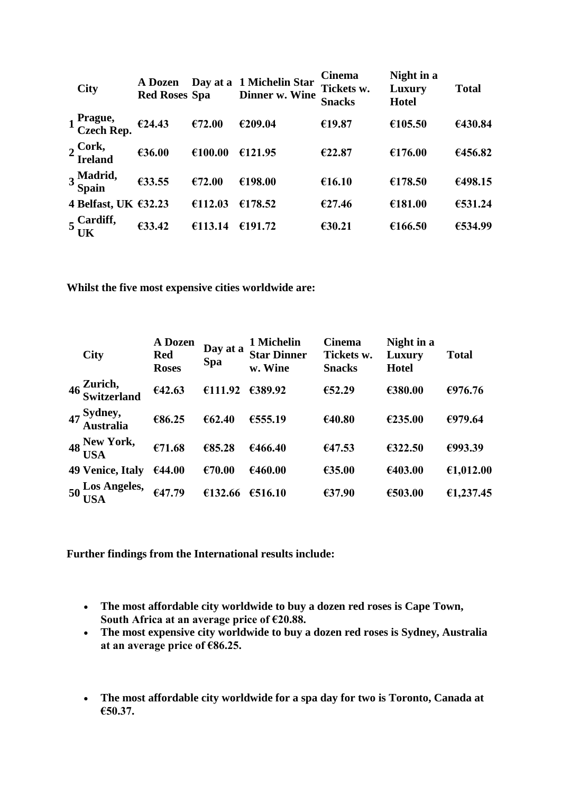| <b>City</b>                         | A Dozen<br><b>Red Roses Spa</b> |         | Day at a 1 Michelin Star<br>Dinner w. Wine | <b>Cinema</b><br>Tickets w.<br><b>Snacks</b> | Night in a<br>Luxury<br><b>Hotel</b> | <b>Total</b> |
|-------------------------------------|---------------------------------|---------|--------------------------------------------|----------------------------------------------|--------------------------------------|--------------|
| 1 Prague,<br>Czech Rep.             | €24.43                          | €72.00  | €209.04                                    | €19.87                                       | €105.50                              | €430.84      |
| 2 Cork,<br>Ireland                  | €36.00                          | €100.00 | €121.95                                    | €22.87                                       | €176.00                              | €456.82      |
| 3 Madrid,<br>Spain                  | €33.55                          | €72.00  | €198.00                                    | €16.10                                       | €178.50                              | €498.15      |
| 4 Belfast, UK €32.23                |                                 | €112.03 | €178.52                                    | €27.46                                       | €181.00                              | €531.24      |
| $5\frac{\text{Cardiff}}{\text{UK}}$ | €33.42                          | €113.14 | €191.72                                    | €30.21                                       | €166.50                              | €534.99      |

**Whilst the five most expensive cities worldwide are:** 

|    | <b>City</b>               | A Dozen<br><b>Red</b><br><b>Roses</b> | Day at a<br><b>Spa</b> | 1 Michelin<br><b>Star Dinner</b><br>w. Wine | <b>Cinema</b><br>Tickets w.<br><b>Snacks</b> | Night in a<br>Luxury<br><b>Hotel</b> | <b>Total</b> |
|----|---------------------------|---------------------------------------|------------------------|---------------------------------------------|----------------------------------------------|--------------------------------------|--------------|
|    | 46 Zurich,<br>Switzerland | €42.63                                | €111.92                | €389.92                                     | €52.29                                       | €380.00                              | €976.76      |
|    | 47 Sydney,<br>Australia   | €86.25                                | € $62.40$              | €555.19                                     | €40.80                                       | €235.00                              | €979.64      |
|    | 48 New York,              | €71.68                                | €85.28                 | €466.40                                     | €47.53                                       | €322.50                              | €993.39      |
|    | 49 Venice, Italy          | €44.00                                | €70.00                 | €460.00                                     | €35.00                                       | €403.00                              | €1,012.00    |
| 50 | Los Angeles,<br>USA       | €47.79                                | €132.66                | €516.10                                     | €37.90                                       | €503.00                              | €1,237.45    |

**Further findings from the International results include:** 

- **The most affordable city worldwide to buy a dozen red roses is Cape Town, South Africa at an average price of €20.88.**
- **The most expensive city worldwide to buy a dozen red roses is Sydney, Australia at an average price of €86.25.**
- **The most affordable city worldwide for a spa day for two is Toronto, Canada at €50.37.**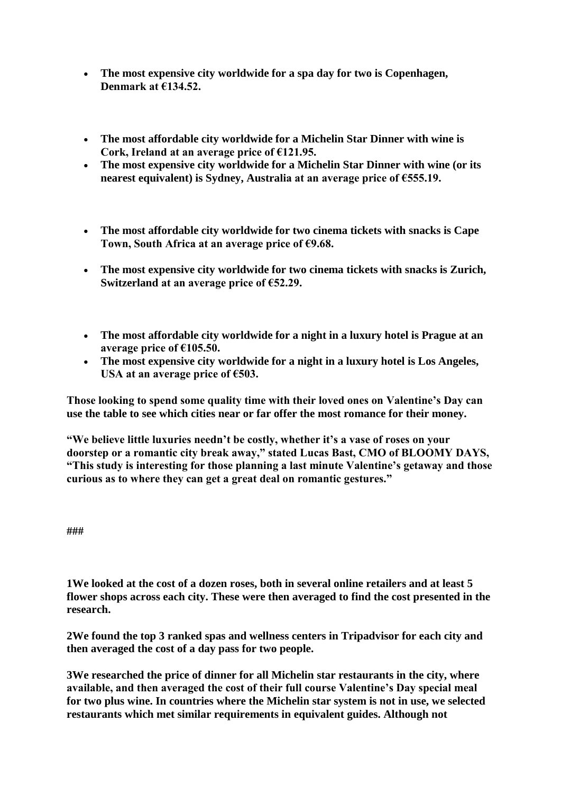- **The most expensive city worldwide for a spa day for two is Copenhagen, Denmark at €134.52.**
- **The most affordable city worldwide for a Michelin Star Dinner with wine is Cork, Ireland at an average price of €121.95.**
- **The most expensive city worldwide for a Michelin Star Dinner with wine (or its nearest equivalent) is Sydney, Australia at an average price of €555.19.**
- **The most affordable city worldwide for two cinema tickets with snacks is Cape Town, South Africa at an average price of €9.68.**
- **The most expensive city worldwide for two cinema tickets with snacks is Zurich, Switzerland at an average price of €52.29.**
- **The most affordable city worldwide for a night in a luxury hotel is Prague at an average price of €105.50.**
- **The most expensive city worldwide for a night in a luxury hotel is Los Angeles, USA at an average price of €503.**

**Those looking to spend some quality time with their loved ones on Valentine's Day can use the table to see which cities near or far offer the most romance for their money.** 

**"We believe little luxuries needn't be costly, whether it's a vase of roses on your doorstep or a romantic city break away," stated Lucas Bast, CMO of BLOOMY DAYS, "This study is interesting for those planning a last minute Valentine's getaway and those curious as to where they can get a great deal on romantic gestures."** 

**###**

**1We looked at the cost of a dozen roses, both in several online retailers and at least 5 flower shops across each city. These were then averaged to find the cost presented in the research.**

**2We found the top 3 ranked spas and wellness centers in Tripadvisor for each city and then averaged the cost of a day pass for two people.** 

**3We researched the price of dinner for all Michelin star restaurants in the city, where available, and then averaged the cost of their full course Valentine's Day special meal for two plus wine. In countries where the Michelin star system is not in use, we selected restaurants which met similar requirements in equivalent guides. Although not**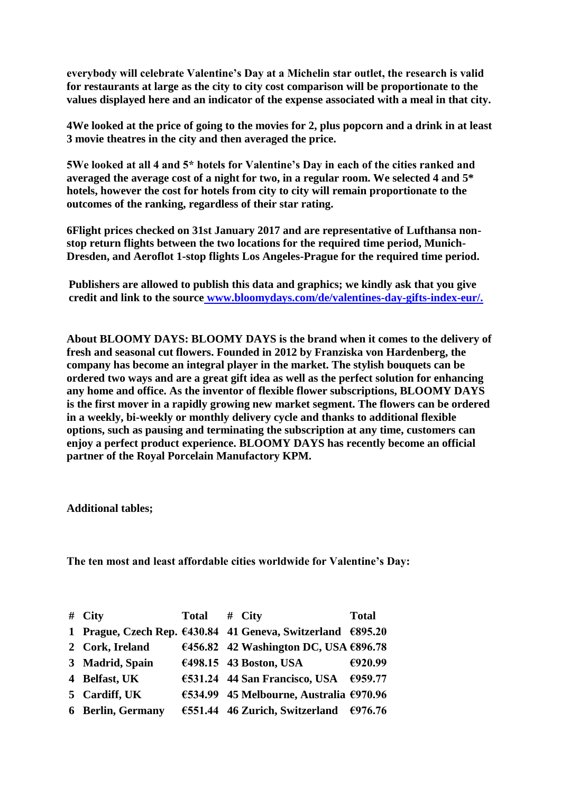**everybody will celebrate Valentine's Day at a Michelin star outlet, the research is valid for restaurants at large as the city to city cost comparison will be proportionate to the values displayed here and an indicator of the expense associated with a meal in that city.**

**4We looked at the price of going to the movies for 2, plus popcorn and a drink in at least 3 movie theatres in the city and then averaged the price.** 

**5We looked at all 4 and 5\* hotels for Valentine's Day in each of the cities ranked and averaged the average cost of a night for two, in a regular room. We selected 4 and 5\* hotels, however the cost for hotels from city to city will remain proportionate to the outcomes of the ranking, regardless of their star rating.**

**6Flight prices checked on 31st January 2017 and are representative of Lufthansa nonstop return flights between the two locations for the required time period, Munich-Dresden, and Aeroflot 1-stop flights Los Angeles-Prague for the required time period.**

**Publishers are allowed to publish this data and graphics; we kindly ask that you give credit and link to the source [www.bloomydays.com/de/valentines-day-gifts-index-eur/.](https://www.bloomydays.com/de/valentines-day-gifts-index-eur/)**

**About BLOOMY DAYS: BLOOMY DAYS is the brand when it comes to the delivery of fresh and seasonal cut flowers. Founded in 2012 by Franziska von Hardenberg, the company has become an integral player in the market. The stylish bouquets can be ordered two ways and are a great gift idea as well as the perfect solution for enhancing any home and office. As the inventor of flexible flower subscriptions, BLOOMY DAYS is the first mover in a rapidly growing new market segment. The flowers can be ordered in a weekly, bi-weekly or monthly delivery cycle and thanks to additional flexible options, such as pausing and terminating the subscription at any time, customers can enjoy a perfect product experience. BLOOMY DAYS has recently become an official partner of the Royal Porcelain Manufactory KPM.** 

**Additional tables;**

**The ten most and least affordable cities worldwide for Valentine's Day:**

| $#$ City                 | Total | $#$ City                                                    | <b>Total</b> |
|--------------------------|-------|-------------------------------------------------------------|--------------|
|                          |       | 1 Prague, Czech Rep. €430.84 41 Geneva, Switzerland €895.20 |              |
| 2 Cork, Ireland          |       | €456.82 42 Washington DC, USA €896.78                       |              |
| 3 Madrid, Spain          |       | €498.15 43 Boston, USA                                      | €920.99      |
| 4 Belfast, UK            |       | €531.24 44 San Francisco, USA €959.77                       |              |
| 5 Cardiff, UK            |       | €534.99 45 Melbourne, Australia €970.96                     |              |
| <b>6 Berlin, Germany</b> |       | €551.44 46 Zurich, Switzerland €976.76                      |              |